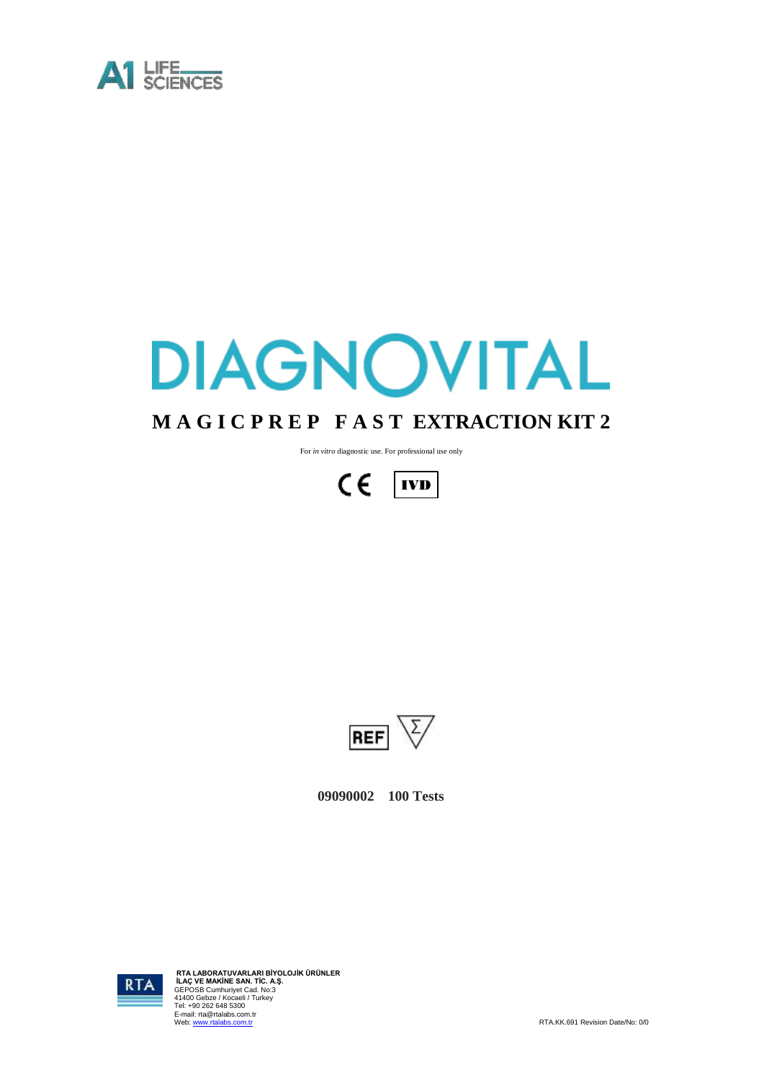

# DIAGNOVITAL **M A G I C P R E P F A S T EXTRACTION KIT 2**

For *in vitro* diagnostic use. For professional use only





**09090002 100 Tests**



RTA LABORATUVARLARI BIYOLOJIK ÜRÜNLER<br>İLAÇ VE MAKİNE SAN. TİC. A.Ş.<br>GEPOSB Cumhuriyet Cad. No:3<br>Tel: +90 262 648 5300<br>Tel: +90 262 648 5300<br>Tel: www.rtalabs.com.tr<br>Web: www.rtalabs.com.tr<br>Web: www.rtalabs.com.tr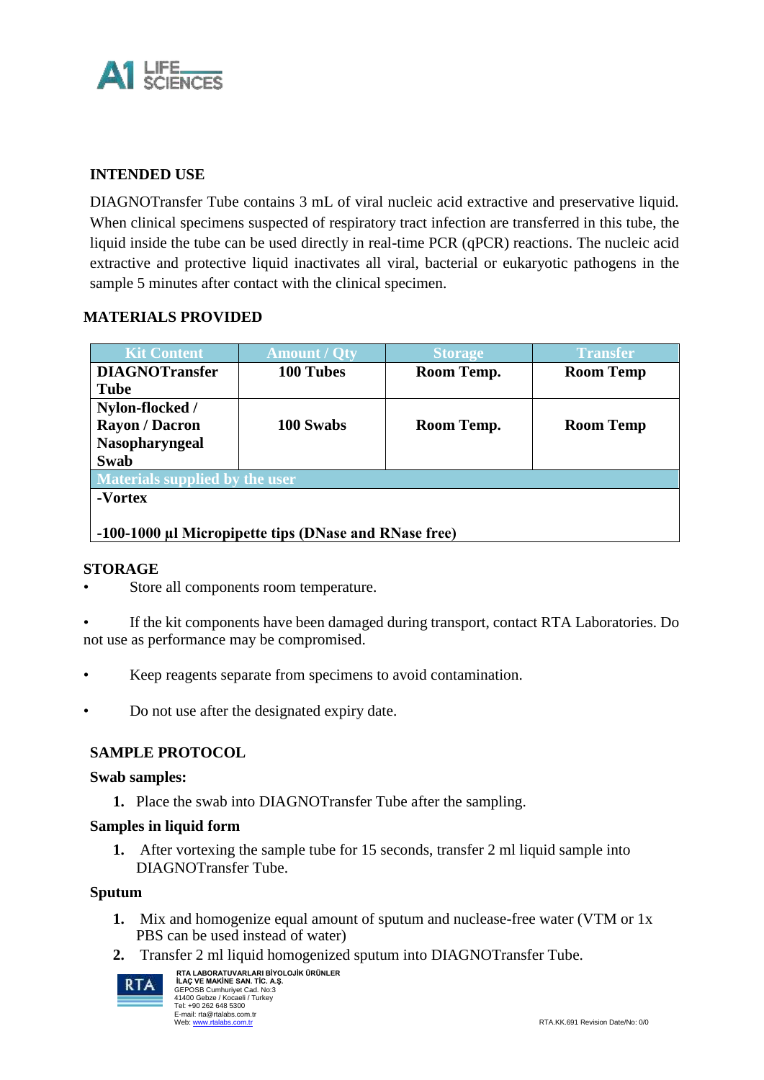

## **INTENDED USE**

DIAGNOTransfer Tube contains 3 mL of viral nucleic acid extractive and preservative liquid. When clinical specimens suspected of respiratory tract infection are transferred in this tube, the liquid inside the tube can be used directly in real-time PCR (qPCR) reactions. The nucleic acid extractive and protective liquid inactivates all viral, bacterial or eukaryotic pathogens in the sample 5 minutes after contact with the clinical specimen.

## **MATERIALS PROVIDED**

| <b>Kit Content</b>                                    | <b>Amount / Qty</b> | <b>Storage</b> | <b>Transfer</b>  |
|-------------------------------------------------------|---------------------|----------------|------------------|
| <b>DIAGNOTransfer</b>                                 | 100 Tubes           | Room Temp.     | <b>Room Temp</b> |
| <b>Tube</b>                                           |                     |                |                  |
| Nylon-flocked /                                       |                     |                |                  |
| <b>Rayon / Dacron</b>                                 | 100 Swabs           | Room Temp.     | <b>Room Temp</b> |
| Nasopharyngeal                                        |                     |                |                  |
| Swab                                                  |                     |                |                  |
| Materials supplied by the user                        |                     |                |                  |
| -Vortex                                               |                     |                |                  |
|                                                       |                     |                |                  |
| -100-1000 μl Micropipette tips (DNase and RNase free) |                     |                |                  |

#### **STORAGE**

Store all components room temperature.

If the kit components have been damaged during transport, contact RTA Laboratories. Do not use as performance may be compromised.

- Keep reagents separate from specimens to avoid contamination.
- Do not use after the designated expiry date.

### **SAMPLE PROTOCOL**

#### **Swab samples:**

**1.** Place the swab into DIAGNOTransfer Tube after the sampling.

#### **Samples in liquid form**

**1.** After vortexing the sample tube for 15 seconds, transfer 2 ml liquid sample into DIAGNOTransfer Tube.

#### **Sputum**

- **1.** Mix and homogenize equal amount of sputum and nuclease-free water (VTM or 1x PBS can be used instead of water)
- **2.** Transfer 2 ml liquid homogenized sputum into DIAGNOTransfer Tube.



**RTA LABORATUVARLARI BİYOLOJİK ÜRÜNLER İLAÇ VE MAKİNE SAN. TİC. A.Ş.** GEPOSB Cumhuriyet Cad. No:3 41400 Gebze / Kocaeli / Turkey Tel: +90 262 648 5300 E-mail: rta@rtalabs.com.tr<br>Web: www.rtalabs.com.tr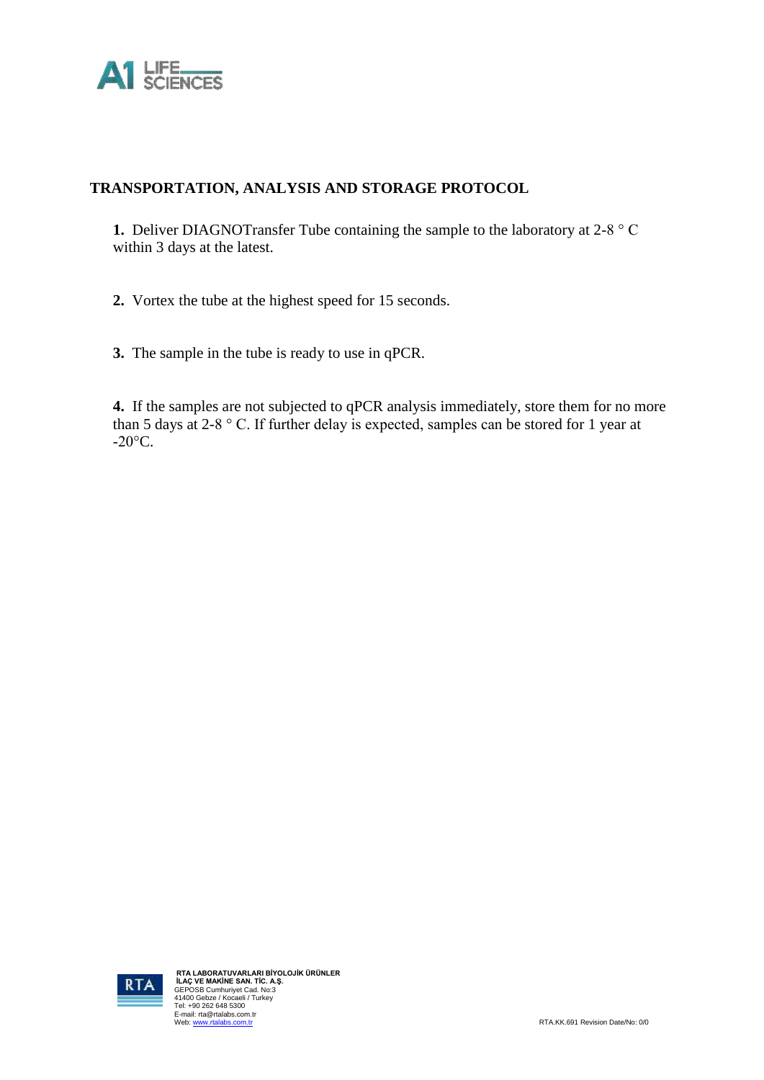

## **TRANSPORTATION, ANALYSIS AND STORAGE PROTOCOL**

**1.** Deliver DIAGNOTransfer Tube containing the sample to the laboratory at 2-8 ° C within 3 days at the latest.

**2.** Vortex the tube at the highest speed for 15 seconds.

**3.** The sample in the tube is ready to use in qPCR.

**4.** If the samples are not subjected to qPCR analysis immediately, store them for no more than 5 days at 2-8 ° C. If further delay is expected, samples can be stored for 1 year at  $-20$ °C.